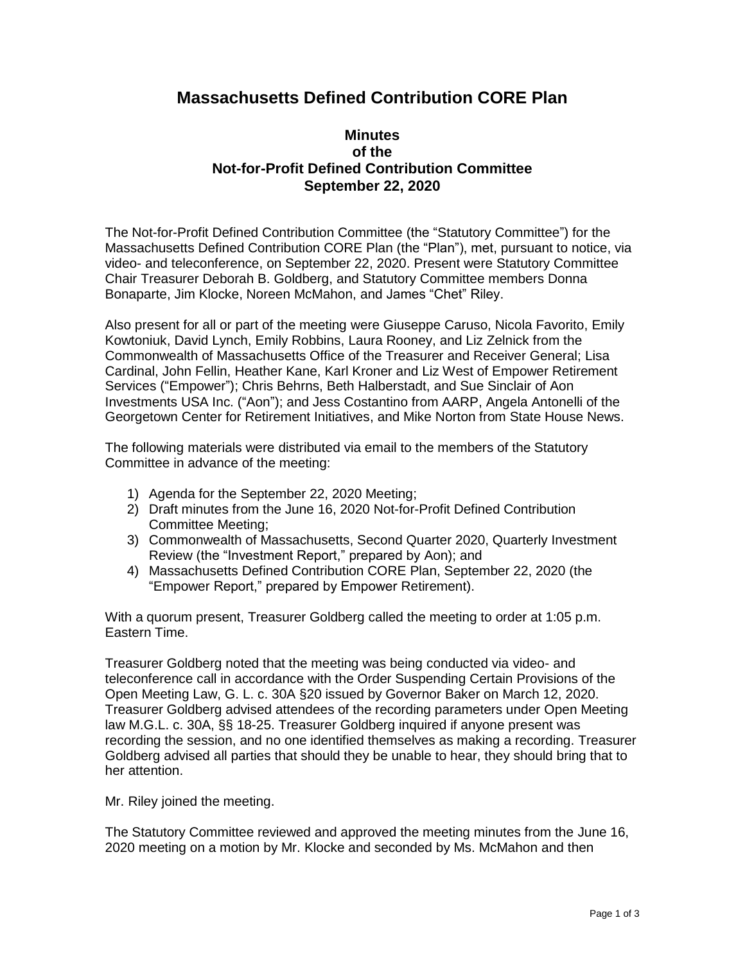## **Massachusetts Defined Contribution CORE Plan**

## **Minutes of the Not-for-Profit Defined Contribution Committee September 22, 2020**

The Not-for-Profit Defined Contribution Committee (the "Statutory Committee") for the Massachusetts Defined Contribution CORE Plan (the "Plan"), met, pursuant to notice, via video- and teleconference, on September 22, 2020. Present were Statutory Committee Chair Treasurer Deborah B. Goldberg, and Statutory Committee members Donna Bonaparte, Jim Klocke, Noreen McMahon, and James "Chet" Riley.

Also present for all or part of the meeting were Giuseppe Caruso, Nicola Favorito, Emily Kowtoniuk, David Lynch, Emily Robbins, Laura Rooney, and Liz Zelnick from the Commonwealth of Massachusetts Office of the Treasurer and Receiver General; Lisa Cardinal, John Fellin, Heather Kane, Karl Kroner and Liz West of Empower Retirement Services ("Empower"); Chris Behrns, Beth Halberstadt, and Sue Sinclair of Aon Investments USA Inc. ("Aon"); and Jess Costantino from AARP, Angela Antonelli of the Georgetown Center for Retirement Initiatives, and Mike Norton from State House News.

The following materials were distributed via email to the members of the Statutory Committee in advance of the meeting:

- 1) Agenda for the September 22, 2020 Meeting;
- 2) Draft minutes from the June 16, 2020 Not-for-Profit Defined Contribution Committee Meeting;
- 3) Commonwealth of Massachusetts, Second Quarter 2020, Quarterly Investment Review (the "Investment Report," prepared by Aon); and
- 4) Massachusetts Defined Contribution CORE Plan, September 22, 2020 (the "Empower Report," prepared by Empower Retirement).

With a quorum present, Treasurer Goldberg called the meeting to order at 1:05 p.m. Eastern Time.

Treasurer Goldberg noted that the meeting was being conducted via video- and teleconference call in accordance with the Order Suspending Certain Provisions of the Open Meeting Law, G. L. c. 30A §20 issued by Governor Baker on March 12, 2020. Treasurer Goldberg advised attendees of the recording parameters under Open Meeting law M.G.L. c. 30A, §§ 18-25. Treasurer Goldberg inquired if anyone present was recording the session, and no one identified themselves as making a recording. Treasurer Goldberg advised all parties that should they be unable to hear, they should bring that to her attention.

Mr. Riley joined the meeting.

The Statutory Committee reviewed and approved the meeting minutes from the June 16, 2020 meeting on a motion by Mr. Klocke and seconded by Ms. McMahon and then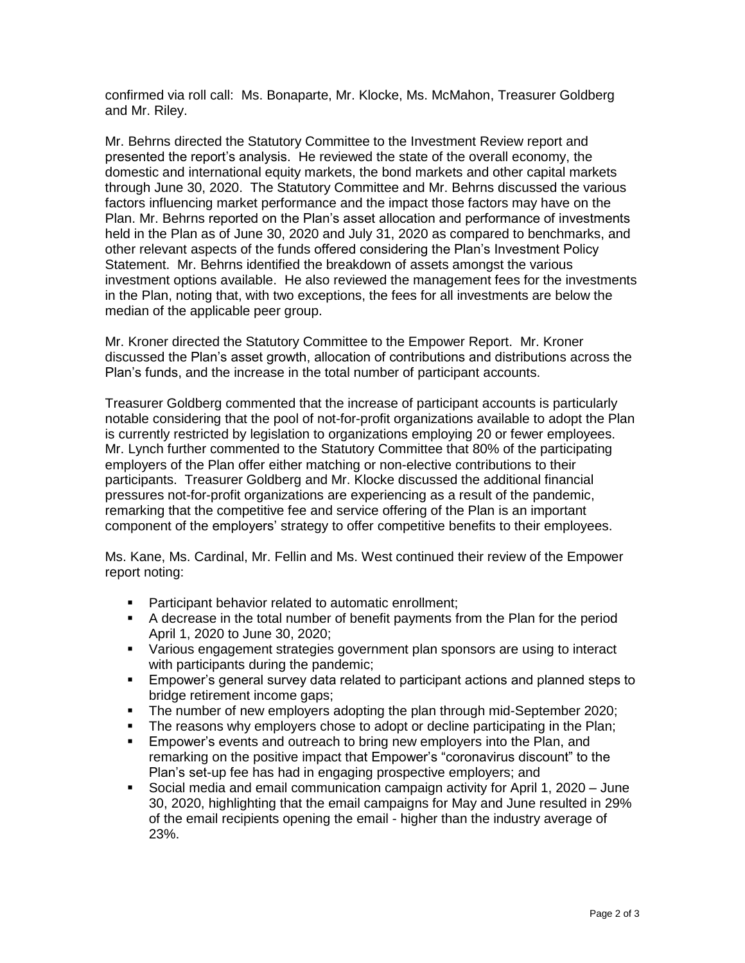confirmed via roll call: Ms. Bonaparte, Mr. Klocke, Ms. McMahon, Treasurer Goldberg and Mr. Riley.

Mr. Behrns directed the Statutory Committee to the Investment Review report and presented the report's analysis. He reviewed the state of the overall economy, the domestic and international equity markets, the bond markets and other capital markets through June 30, 2020. The Statutory Committee and Mr. Behrns discussed the various factors influencing market performance and the impact those factors may have on the Plan. Mr. Behrns reported on the Plan's asset allocation and performance of investments held in the Plan as of June 30, 2020 and July 31, 2020 as compared to benchmarks, and other relevant aspects of the funds offered considering the Plan's Investment Policy Statement. Mr. Behrns identified the breakdown of assets amongst the various investment options available. He also reviewed the management fees for the investments in the Plan, noting that, with two exceptions, the fees for all investments are below the median of the applicable peer group.

Mr. Kroner directed the Statutory Committee to the Empower Report. Mr. Kroner discussed the Plan's asset growth, allocation of contributions and distributions across the Plan's funds, and the increase in the total number of participant accounts.

Treasurer Goldberg commented that the increase of participant accounts is particularly notable considering that the pool of not-for-profit organizations available to adopt the Plan is currently restricted by legislation to organizations employing 20 or fewer employees. Mr. Lynch further commented to the Statutory Committee that 80% of the participating employers of the Plan offer either matching or non-elective contributions to their participants. Treasurer Goldberg and Mr. Klocke discussed the additional financial pressures not-for-profit organizations are experiencing as a result of the pandemic, remarking that the competitive fee and service offering of the Plan is an important component of the employers' strategy to offer competitive benefits to their employees.

Ms. Kane, Ms. Cardinal, Mr. Fellin and Ms. West continued their review of the Empower report noting:

- Participant behavior related to automatic enrollment;
- A decrease in the total number of benefit payments from the Plan for the period April 1, 2020 to June 30, 2020;
- Various engagement strategies government plan sponsors are using to interact with participants during the pandemic:
- **Empower's general survey data related to participant actions and planned steps to** bridge retirement income gaps;
- The number of new employers adopting the plan through mid-September 2020;
- The reasons why employers chose to adopt or decline participating in the Plan;
- **Empower's events and outreach to bring new employers into the Plan, and** remarking on the positive impact that Empower's "coronavirus discount" to the Plan's set-up fee has had in engaging prospective employers; and
- Social media and email communication campaign activity for April 1, 2020 June 30, 2020, highlighting that the email campaigns for May and June resulted in 29% of the email recipients opening the email - higher than the industry average of 23%.